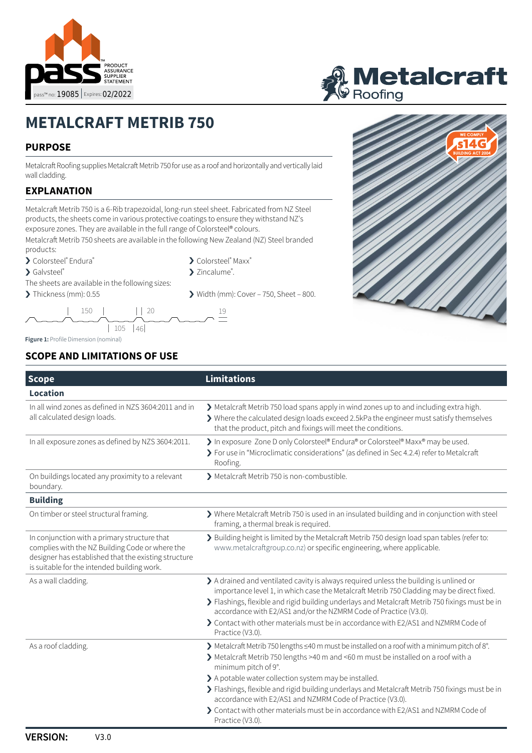



# **METALCRAFT METRIB 750**

#### **PURPOSE**

Metalcraft Roofing supplies Metalcraft Metrib 750 for use as a roof and horizontally and vertically laid wall cladding.

### **EXPLANATION**

Metalcraft Metrib 750 is a 6-Rib trapezoidal, long-run steel sheet. Fabricated from NZ Steel products, the sheets come in various protective coatings to ensure they withstand NZ's exposure zones. They are available in the full range of Colorsteel® colours.

Metalcraft Metrib 750 sheets are available in the following New Zealand (NZ) Steel branded products:

- › Colorsteel® Endura®
- > Galvsteel®
- The sheets are available in the following sizes:
- > Thickness (mm): 0.55 > Width (mm): Cover 750, Sheet 800.









**Figure 1:** Profile Dimension (nominal)

#### **SCOPE AND LIMITATIONS OF USE**

| <b>Scope</b>                                                                                                                                                                                           | <b>Limitations</b>                                                                                                                                                                                                                                                                                                                                                                                                                                                                                                                           |
|--------------------------------------------------------------------------------------------------------------------------------------------------------------------------------------------------------|----------------------------------------------------------------------------------------------------------------------------------------------------------------------------------------------------------------------------------------------------------------------------------------------------------------------------------------------------------------------------------------------------------------------------------------------------------------------------------------------------------------------------------------------|
| Location                                                                                                                                                                                               |                                                                                                                                                                                                                                                                                                                                                                                                                                                                                                                                              |
| In all wind zones as defined in NZS 3604:2011 and in<br>all calculated design loads.                                                                                                                   | > Metalcraft Metrib 750 load spans apply in wind zones up to and including extra high.<br>> Where the calculated design loads exceed 2.5kPa the engineer must satisfy themselves<br>that the product, pitch and fixings will meet the conditions.                                                                                                                                                                                                                                                                                            |
| In all exposure zones as defined by NZS 3604:2011.                                                                                                                                                     | > In exposure Zone D only Colorsteel® Endura® or Colorsteel® Maxx® may be used.<br>> For use in "Microclimatic considerations" (as defined in Sec 4.2.4) refer to Metalcraft<br>Roofing.                                                                                                                                                                                                                                                                                                                                                     |
| On buildings located any proximity to a relevant<br>boundary.                                                                                                                                          | > Metalcraft Metrib 750 is non-combustible.                                                                                                                                                                                                                                                                                                                                                                                                                                                                                                  |
| <b>Building</b>                                                                                                                                                                                        |                                                                                                                                                                                                                                                                                                                                                                                                                                                                                                                                              |
| On timber or steel structural framing.                                                                                                                                                                 | > Where Metalcraft Metrib 750 is used in an insulated building and in conjunction with steel<br>framing, a thermal break is required.                                                                                                                                                                                                                                                                                                                                                                                                        |
| In conjunction with a primary structure that<br>complies with the NZ Building Code or where the<br>designer has established that the existing structure<br>is suitable for the intended building work. | > Building height is limited by the Metalcraft Metrib 750 design load span tables (refer to:<br>www.metalcraftgroup.co.nz) or specific engineering, where applicable.                                                                                                                                                                                                                                                                                                                                                                        |
| As a wall cladding.                                                                                                                                                                                    | > A drained and ventilated cavity is always required unless the building is unlined or<br>importance level 1, in which case the Metalcraft Metrib 750 Cladding may be direct fixed.<br>> Flashings, flexible and rigid building underlays and Metalcraft Metrib 750 fixings must be in<br>accordance with E2/AS1 and/or the NZMRM Code of Practice (V3.0).<br>> Contact with other materials must be in accordance with E2/AS1 and NZMRM Code of<br>Practice (V3.0).                                                                         |
| As a roof cladding.                                                                                                                                                                                    | > Metalcraft Metrib 750 lengths <40 m must be installed on a roof with a minimum pitch of 8°.<br>Metalcraft Metrib 750 lengths >40 m and <60 m must be installed on a roof with a<br>minimum pitch of 9°.<br>> A potable water collection system may be installed.<br>> Flashings, flexible and rigid building underlays and Metalcraft Metrib 750 fixings must be in<br>accordance with E2/AS1 and NZMRM Code of Practice (V3.0).<br>> Contact with other materials must be in accordance with E2/AS1 and NZMRM Code of<br>Practice (V3.0). |